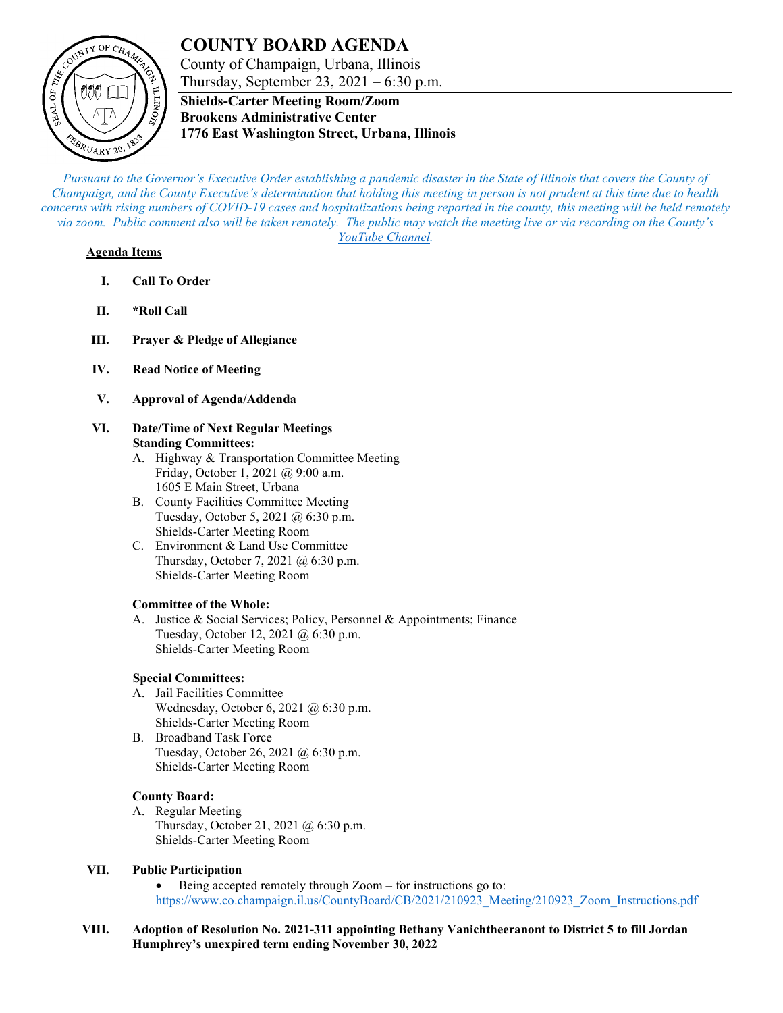# **COUNTY BOARD AGENDA**



County of Champaign, Urbana, Illinois Thursday, September 23,  $2021 - 6:30$  p.m.

**Shields-Carter Meeting Room/Zoom Brookens Administrative Center 1776 East Washington Street, Urbana, Illinois**

*Pursuant to the Governor's Executive Order establishing a pandemic disaster in the State of Illinois that covers the County of Champaign, and the County Executive's determination that holding this meeting in person is not prudent at this time due to health concerns with rising numbers of COVID-19 cases and hospitalizations being reported in the county, this meeting will be held remotely via zoom. Public comment also will be taken remotely. The public may watch the meeting live or via recording on the County's [YouTube Channel.](https://www.youtube.com/user/ChampaignCountyIL)*

### **Agenda Items**

- **I. Call To Order**
- **II. \*Roll Call**
- **III. Prayer & Pledge of Allegiance**
- **IV. Read Notice of Meeting**
- **V. Approval of Agenda/Addenda**
- **VI. Date/Time of Next Regular Meetings Standing Committees:**
	- A. Highway & Transportation Committee Meeting Friday, October 1, 2021 @ 9:00 a.m. 1605 E Main Street, Urbana
	- B. County Facilities Committee Meeting Tuesday, October 5, 2021 @ 6:30 p.m. Shields-Carter Meeting Room
	- C. Environment & Land Use Committee Thursday, October 7, 2021 @ 6:30 p.m. Shields-Carter Meeting Room

# **Committee of the Whole:**

A. Justice & Social Services; Policy, Personnel & Appointments; Finance Tuesday, October 12, 2021 @ 6:30 p.m. Shields-Carter Meeting Room

# **Special Committees:**

- A. Jail Facilities Committee Wednesday, October 6, 2021 @ 6:30 p.m. Shields-Carter Meeting Room
- B. Broadband Task Force Tuesday, October 26, 2021 @ 6:30 p.m. Shields-Carter Meeting Room

# **County Board:**

A. Regular Meeting Thursday, October 21, 2021 @ 6:30 p.m. Shields-Carter Meeting Room

# **VII. Public Participation**

• Being accepted remotely through Zoom – for instructions go to: [https://www.co.champaign.il.us/CountyBoard/CB/2021/210923\\_Meeting/210923\\_Zoom\\_Instructions.pdf](https://www.co.champaign.il.us/CountyBoard/CB/2021/210923_Meeting/210923_Zoom_Instructions.pdf)

**VIII. Adoption of Resolution No. 2021-311 appointing Bethany Vanichtheeranont to District 5 to fill Jordan Humphrey's unexpired term ending November 30, 2022**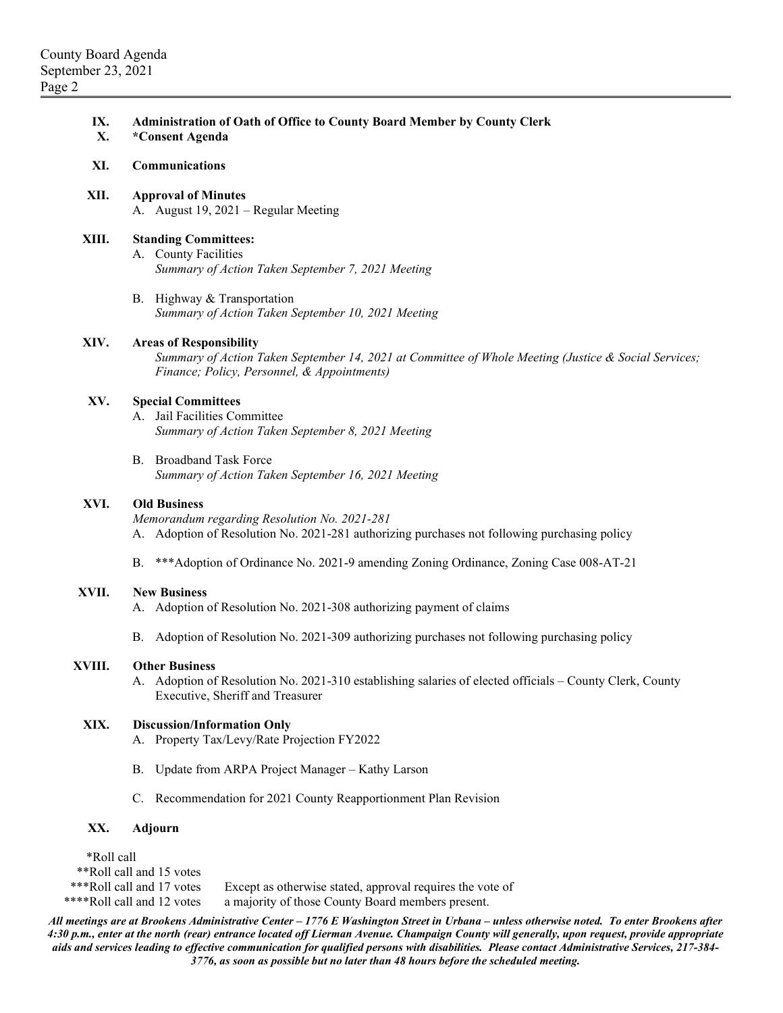| IX.<br>X.                                                                                                                         | Administration of Oath of Office to County Board Member by County Clerk<br>*Consent Agenda                                                                                            |
|-----------------------------------------------------------------------------------------------------------------------------------|---------------------------------------------------------------------------------------------------------------------------------------------------------------------------------------|
| XI.                                                                                                                               | Communications                                                                                                                                                                        |
| XII.                                                                                                                              | <b>Approval of Minutes</b><br>A. August 19, 2021 – Regular Meeting                                                                                                                    |
| XIII.                                                                                                                             | <b>Standing Committees:</b><br>A. County Facilities<br>Summary of Action Taken September 7, 2021 Meeting                                                                              |
|                                                                                                                                   | B. Highway & Transportation<br>Summary of Action Taken September 10, 2021 Meeting                                                                                                     |
| XIV.                                                                                                                              | <b>Areas of Responsibility</b><br>Summary of Action Taken September 14, 2021 at Committee of Whole Meeting (Justice & Social Services;<br>Finance; Policy, Personnel, & Appointments) |
| XV.                                                                                                                               | <b>Special Committees</b><br>A. Jail Facilities Committee<br>Summary of Action Taken September 8, 2021 Meeting                                                                        |
|                                                                                                                                   | B. Broadband Task Force<br>Summary of Action Taken September 16, 2021 Meeting                                                                                                         |
| XVI.                                                                                                                              | <b>Old Business</b><br>Memorandum regarding Resolution No. 2021-281<br>A. Adoption of Resolution No. 2021-281 authorizing purchases not following purchasing policy                   |
|                                                                                                                                   | ***Adoption of Ordinance No. 2021-9 amending Zoning Ordinance, Zoning Case 008-AT-21<br><b>B.</b>                                                                                     |
| XVII.                                                                                                                             | <b>New Business</b><br>A. Adoption of Resolution No. 2021-308 authorizing payment of claims                                                                                           |
|                                                                                                                                   | B. Adoption of Resolution No. 2021-309 authorizing purchases not following purchasing policy                                                                                          |
| XVIII.                                                                                                                            | <b>Other Business</b><br>A. Adoption of Resolution No. 2021-310 establishing salaries of elected officials – County Clerk, County<br>Executive, Sheriff and Treasurer                 |
| XIX.                                                                                                                              | <b>Discussion/Information Only</b><br>Property Tax/Levy/Rate Projection FY2022<br>А.                                                                                                  |
|                                                                                                                                   | Update from ARPA Project Manager - Kathy Larson<br>В.                                                                                                                                 |
|                                                                                                                                   | C. Recommendation for 2021 County Reapportionment Plan Revision                                                                                                                       |
| XX.                                                                                                                               | <b>Adjourn</b>                                                                                                                                                                        |
| *Roll call<br>**Roll call and 15 votes<br>*** Roll call and 17 votes<br>Except as otherwise stated, approval requires the vote of |                                                                                                                                                                                       |

\*\*\*\*Roll call and 12 votes a majority of those County Board members present.

*All meetings are at Brookens Administrative Center – 1776 E Washington Street in Urbana – unless otherwise noted. To enter Brookens after 4:30 p.m., enter at the north (rear) entrance located off Lierman Avenue. Champaign County will generally, upon request, provide appropriate aids and services leading to effective communication for qualified persons with disabilities. Please contact Administrative Services, 217-384- 3776, as soon as possible but no later than 48 hours before the scheduled meeting.*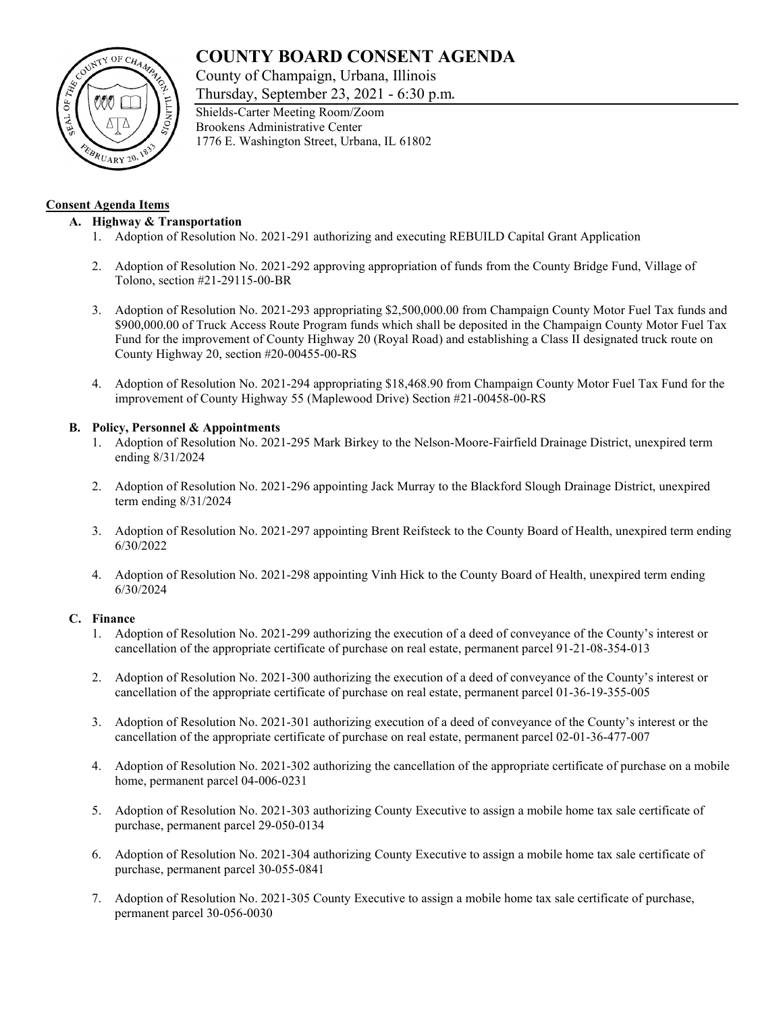# **COUNTY BOARD CONSENT AGENDA**

County of Champaign, Urbana, Illinois

Thursday, September 23, 2021 - 6:30 p.m.



### **Consent Agenda Items**

### **A. Highway & Transportation**

- 1. Adoption of Resolution No. 2021-291 authorizing and executing REBUILD Capital Grant Application
- 2. Adoption of Resolution No. 2021-292 approving appropriation of funds from the County Bridge Fund, Village of Tolono, section #21-29115-00-BR
- 3. Adoption of Resolution No. 2021-293 appropriating \$2,500,000.00 from Champaign County Motor Fuel Tax funds and \$900,000.00 of Truck Access Route Program funds which shall be deposited in the Champaign County Motor Fuel Tax Fund for the improvement of County Highway 20 (Royal Road) and establishing a Class II designated truck route on County Highway 20, section #20-00455-00-RS
- 4. Adoption of Resolution No. 2021-294 appropriating \$18,468.90 from Champaign County Motor Fuel Tax Fund for the improvement of County Highway 55 (Maplewood Drive) Section #21-00458-00-RS

### **B. Policy, Personnel & Appointments**

- 1. Adoption of Resolution No. 2021-295 Mark Birkey to the Nelson-Moore-Fairfield Drainage District, unexpired term ending 8/31/2024
- 2. Adoption of Resolution No. 2021-296 appointing Jack Murray to the Blackford Slough Drainage District, unexpired term ending 8/31/2024
- 3. Adoption of Resolution No. 2021-297 appointing Brent Reifsteck to the County Board of Health, unexpired term ending 6/30/2022
- 4. Adoption of Resolution No. 2021-298 appointing Vinh Hick to the County Board of Health, unexpired term ending 6/30/2024

#### **C. Finance**

- 1. Adoption of Resolution No. 2021-299 authorizing the execution of a deed of conveyance of the County's interest or cancellation of the appropriate certificate of purchase on real estate, permanent parcel 91-21-08-354-013
- 2. Adoption of Resolution No. 2021-300 authorizing the execution of a deed of conveyance of the County's interest or cancellation of the appropriate certificate of purchase on real estate, permanent parcel 01-36-19-355-005
- 3. Adoption of Resolution No. 2021-301 authorizing execution of a deed of conveyance of the County's interest or the cancellation of the appropriate certificate of purchase on real estate, permanent parcel 02-01-36-477-007
- 4. Adoption of Resolution No. 2021-302 authorizing the cancellation of the appropriate certificate of purchase on a mobile home, permanent parcel 04-006-0231
- 5. Adoption of Resolution No. 2021-303 authorizing County Executive to assign a mobile home tax sale certificate of purchase, permanent parcel 29-050-0134
- 6. Adoption of Resolution No. 2021-304 authorizing County Executive to assign a mobile home tax sale certificate of purchase, permanent parcel 30-055-0841
- 7. Adoption of Resolution No. 2021-305 County Executive to assign a mobile home tax sale certificate of purchase, permanent parcel 30-056-0030

Shields-Carter Meeting Room/Zoom Brookens Administrative Center 1776 E. Washington Street, Urbana, IL 61802